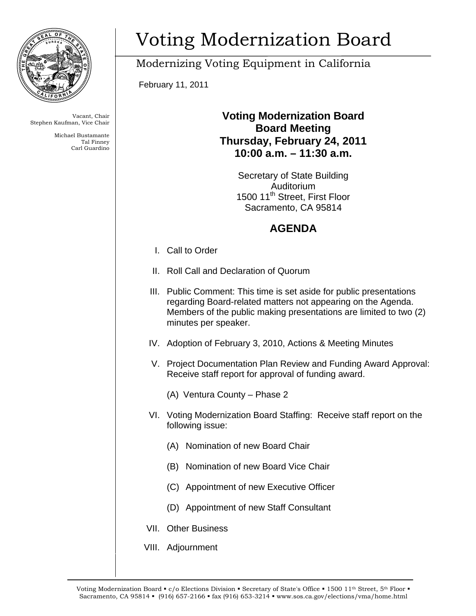

Carl Guardino Tal Finney

## Voting Modernization Board

Modernizing Voting Equipment in California

February 11, 2011

## Vacant, Chair **Vacant, Chair Voting Modernization Board Stephen Kaufman, Vice Chair Board Bustamante Board Meeting Thursday, February 24, 2011** Carl Guardino **10:00 a.m. – 11:30 a.m.**

Secretary of State Building Auditorium 1500 11<sup>th</sup> Street, First Floor Sacramento, CA 95814

## **AGENDA**

- I. Call to Order
- II. Roll Call and Declaration of Quorum
- III. Public Comment: This time is set aside for public presentations regarding Board-related matters not appearing on the Agenda. Members of the public making presentations are limited to two (2) minutes per speaker.
- IV. Adoption of February 3, 2010, Actions & Meeting Minutes
- V. Project Documentation Plan Review and Funding Award Approval: Receive staff report for approval of funding award.
	- (A) Ventura County Phase 2
- VI. Voting Modernization Board Staffing: Receive staff report on the following issue:
	- (A) Nomination of new Board Chair
	- (B) Nomination of new Board Vice Chair
	- (C) Appointment of new Executive Officer
	- (D) Appointment of new Staff Consultant
- VII. Other Business
- VIII. Adjournment